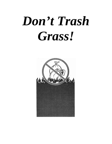# *Don't Trash Grass!*

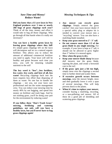# *Save Time and Money! Reduce Waste!*

**Did you know that a l/2 acre lawn in New England produces over 3 tons or nearly 260 bags of grass clippings each year?**  Think of all the time, money and effort it would take to bag all those clippings. Why go through all that hassle when it's really not necessary?

**You can have a healthy green lawn by leaving grass clippings where they fall!** It's simple grass clippings left on the lawn will decompose and act as a natural organic fertilizer. This allows you to reduce the amount of additional commercial fertilizer you need to apply. Your lawn will still be healthy and green because each time you mow, you will be returning valuable nutrients to the soil!

**The key word is "less"…less fertilizer, less water, less work, and best of all, less waste!** Recycling clippings back into the lawn requires less effort than disposing of them as waste. No one has to handle the clippings – not you, not your lawn care professional and not the waste management crew. You can reduce your mowing time by nearly 40% by not bagging, and spend less money on fertilizer and trash bags. And by not trashing grass, you'll be doing your part for the environment by reducing waste!

**If you follow these "Don't Trash Grass" mowing, fertilizing and watering guidelines, not only will you have a healthy lawn, but you'll never have to bag grass clippings again!** 

## *Mowing Techniques* **&** *Tips*

- **Any mower can recycle grass clippings.** Simply remove the grass catcher! Ask your lawn mower dealer if a special safety plug or adaptor kit is needed to convert your mower into a "recycling" mower. You can also have a mulching blade installed.
- **Keep your grass mowed to 2"- 3" tall.**
- **Do not remove more than** *1/3* **of the grass blade in any single mowing.** For example, if your lawn is kept at 2" tall, it should not be allowed to grow higher than 3" before it is mowed again.
- **Mow when the grass is dry.**
- **Keep your mower blade sharp** because dull mowers tear the grass blade, injuring the plant, and create a brownish cast to the turf.
- **If the grass 'gets just a bit too high,** simply mow over the clippings a second time to further shred and scatter them.
- **If excessive growth occurs between mowings,** raise the mower height, mow and then gradually lower it over a span of several mowings. This will help prevent shock to the plants.
- **When it's time to replace your mower,** consider buying a mulching, recycling, or a non-polluting reel mower. All of these do a good job of shredding and scattering grass clippings.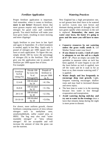## *Fertilizer Application*

Proper fertilizer application is important. And remember, when it comes to fertilizer, **more is not better!** Research shows that most grasses require only modest levels of nitrogen for good color and' controlled growth. Too much fertilizer will make your lawn grow faster, resulting in more mowing and more clippings!

Apply fertilizer to your lawn in late April and again in September. If a third treatment is needed, apply in late May. Apply only ½ pound of nitrogen per 1000 square feet of lawn at each application. To figure this out, simply divide 100 by twice the percentage of nitrogen (N) in the fertilizer. This will give you the application rate in pounds of fertilizer per 1000 square feet of lawn. For example:

| Fertilizer<br>$N-P-K$<br>rating $(\%)$ | Divide 100<br>by twice the<br>% of<br>Nitrogen(N) | Pounds of<br>fertilizer to<br>use per 1000<br>sq. ft. |
|----------------------------------------|---------------------------------------------------|-------------------------------------------------------|
| $12 - 4 - 8$                           | 100 divided<br>by 24                              | $=4.1$ lbs.                                           |
| $16 - 8 - 8$                           | 100 divided<br>by $32$                            | $=3.1$ lbs.                                           |
| $20 - 5 - 10$                          | 100 divided<br>by $40$                            | $=2.5$ lbs.                                           |
| $10-10-10$                             | 100 divided<br>by 20                              | $=5.0$ lbs.                                           |

For slower, more uniform growth, choose fertilizers containing sources of slow-release nitrogen such as methylene urea, ureaformaldehyde, sulfur coated urea, or IBDU. The bag may also read "water insoluble nitrogen" or "slow release nitrogen". All are acceptable and will increase the amount of time the grass can use the nutrient.

### *Watering Practices*

New England has a high precipitation rate, so turf grasses here don't have to be watered to survive. Lawns may turn brown and dormant during periods of drought, but will turn green rapidly when moisture in the soil is replaced. **Remember, the more you water your lawn, the faster it's going to grow and the more you will have to mow it!**

- **Conserve resources by not watering unless the grass really needs it.** Let Mother Nature water your lawn!
- **If you choose to water, 1 inch of water is adequate to wet the soil to a depth of 4"- 6".** Place an empty can under the sprinkler to measure when an inch has been applied. If water begins to run off the lawn before an inch is applied, turn off the water and let it soak in for an hour or so, then resume watering until 1" is applied.
- **Water deeply and less frequently to encourage deep root growth.** Light, frequent watering encourages shallow roots and may lead to increased disease and stress injury.
- The best time to water is in the morning because less water is lost through evaporation and transpiration.
- **Avoid watering during mid-day and try not to water in the evenings** since a lawn that remains damp during the night is more prone to disease.